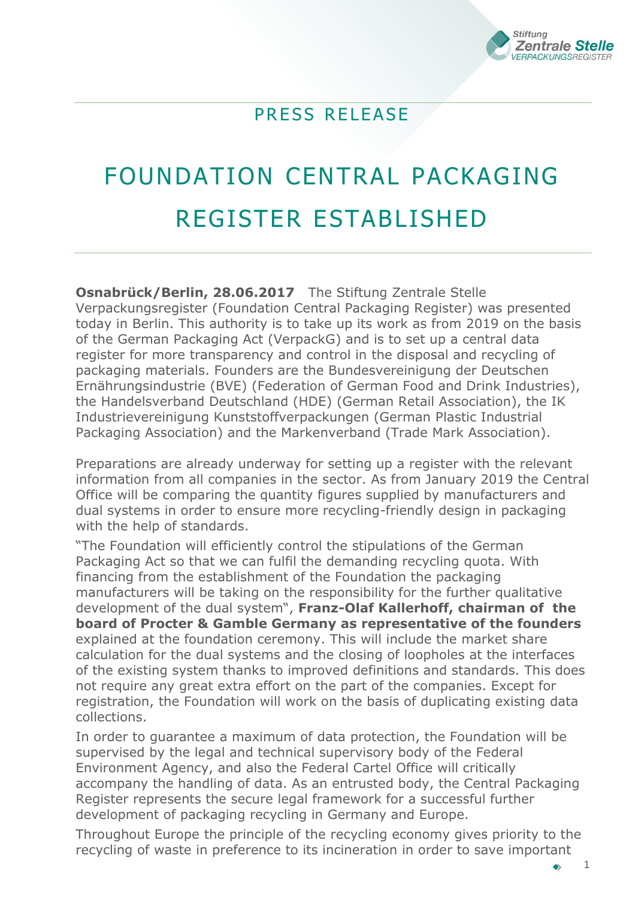

## PRESS RELEASE

## FOUNDATION CENTRAL PACKAGING REGISTER ESTABLISHED

**Osnabrück/Berlin, 28.06.2017** The Stiftung Zentrale Stelle Verpackungsregister (Foundation Central Packaging Register) was presented today in Berlin. This authority is to take up its work as from 2019 on the basis of the German Packaging Act (VerpackG) and is to set up a central data register for more transparency and control in the disposal and recycling of packaging materials. Founders are the Bundesvereinigung der Deutschen Ernährungsindustrie (BVE) (Federation of German Food and Drink Industries), the Handelsverband Deutschland (HDE) (German Retail Association), the IK Industrievereinigung Kunststoffverpackungen (German Plastic Industrial Packaging Association) and the Markenverband (Trade Mark Association).

Preparations are already underway for setting up a register with the relevant information from all companies in the sector. As from January 2019 the Central Office will be comparing the quantity figures supplied by manufacturers and dual systems in order to ensure more recycling-friendly design in packaging with the help of standards.

"The Foundation will efficiently control the stipulations of the German Packaging Act so that we can fulfil the demanding recycling quota. With financing from the establishment of the Foundation the packaging manufacturers will be taking on the responsibility for the further qualitative development of the dual system", **Franz-Olaf Kallerhoff, chairman of the board of Procter & Gamble Germany as representative of the founders** explained at the foundation ceremony. This will include the market share calculation for the dual systems and the closing of loopholes at the interfaces of the existing system thanks to improved definitions and standards. This does not require any great extra effort on the part of the companies. Except for registration, the Foundation will work on the basis of duplicating existing data collections.

In order to guarantee a maximum of data protection, the Foundation will be supervised by the legal and technical supervisory body of the Federal Environment Agency, and also the Federal Cartel Office will critically accompany the handling of data. As an entrusted body, the Central Packaging Register represents the secure legal framework for a successful further development of packaging recycling in Germany and Europe.

Throughout Europe the principle of the recycling economy gives priority to the recycling of waste in preference to its incineration in order to save important

1